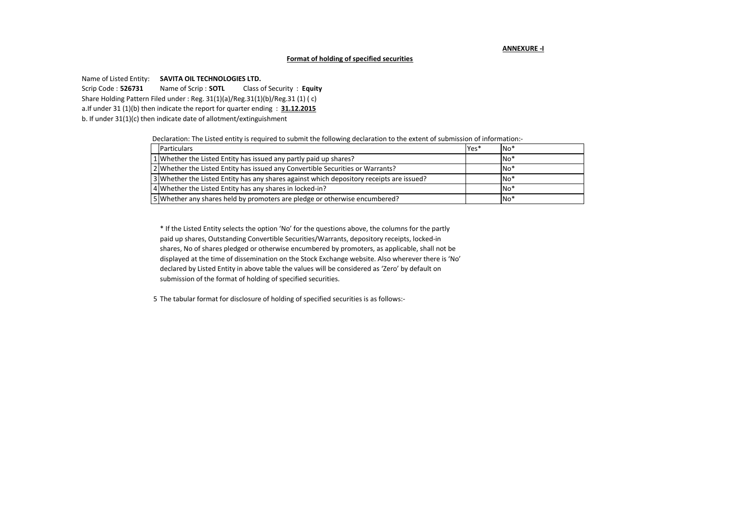#### **ANNEXURE -I**

#### **Format of holding of specified securities**

Name of Listed Entity: **SAVITA OIL TECHNOLOGIES LTD.**

Scrip Code : **526731** Name of Scrip : **SOTL** Class of Security : **Equity**  Share Holding Pattern Filed under : Reg. 31(1)(a)/Reg.31(1)(b)/Reg.31 (1) ( c) a.If under 31 (1)(b) then indicate the report for quarter ending : **31.12.2015** b. If under 31(1)(c) then indicate date of allotment/extinguishment

Declaration: The Listed entity is required to submit the following declaration to the extent of submission of information:-

| Particulars                                                                              | Yes* | $No*$ |
|------------------------------------------------------------------------------------------|------|-------|
| 1 Whether the Listed Entity has issued any partly paid up shares?                        |      | $No*$ |
| 2 Whether the Listed Entity has issued any Convertible Securities or Warrants?           |      | $No*$ |
| 3 Whether the Listed Entity has any shares against which depository receipts are issued? |      | $No*$ |
| 4 Whether the Listed Entity has any shares in locked-in?                                 |      | $No*$ |
| 5 S Whether any shares held by promoters are pledge or otherwise encumbered?             |      | $No*$ |

\* If the Listed Entity selects the option 'No' for the questions above, the columns for the partly paid up shares, Outstanding Convertible Securities/Warrants, depository receipts, locked-in shares, No of shares pledged or otherwise encumbered by promoters, as applicable, shall not be displayed at the time of dissemination on the Stock Exchange website. Also wherever there is 'No' declared by Listed Entity in above table the values will be considered as 'Zero' by default on submission of the format of holding of specified securities.

5 The tabular format for disclosure of holding of specified securities is as follows:-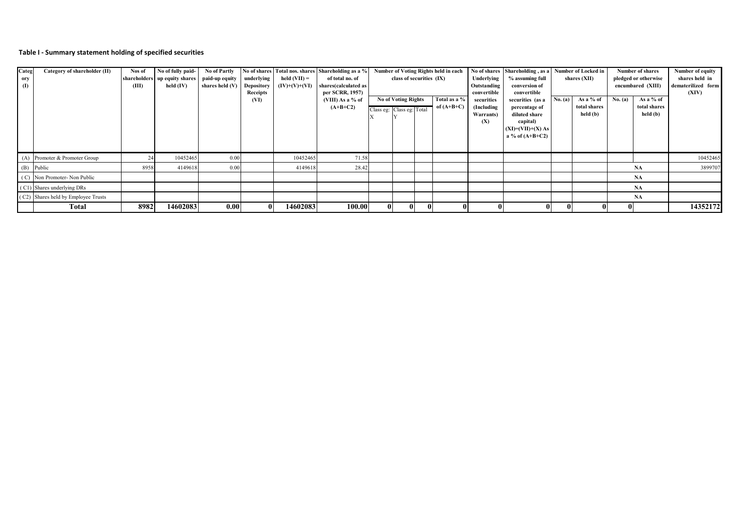# **Table I - Summary statement holding of specified securities**

| Categ | Category of shareholder (II)        | Nos of | No of fully paid-               | No of Partly      |            |                 | No of shares Total nos. shares Shareholding as a % | Number of Voting Rights held in each |                            | No of shares Shareholding, as a |               |                 | Number of Locked in             |         | Number of shares | Number of equity     |                    |          |
|-------|-------------------------------------|--------|---------------------------------|-------------------|------------|-----------------|----------------------------------------------------|--------------------------------------|----------------------------|---------------------------------|---------------|-----------------|---------------------------------|---------|------------------|----------------------|--------------------|----------|
| ory   |                                     |        | shareholders   up equity shares | paid-up equity    | underlying | held $(VII) =$  | of total no. of                                    |                                      | class of securities (IX)   |                                 | Underlying    | % assuming full | shares (XII)                    |         |                  | pledged or otherwise | shares held in     |          |
| (1)   |                                     | (III)  | held $(IV)$                     | shares held $(V)$ | Depository | $(IV)+(V)+(VI)$ | shares(calculated as                               |                                      |                            |                                 | Outstanding   | conversion of   |                                 |         |                  | encumbared (XIII)    | dematerilized form |          |
|       |                                     |        |                                 |                   | Receipts   |                 | per SCRR, 1957)                                    |                                      |                            |                                 |               | convertible     | convertible                     |         |                  |                      |                    | (XIV)    |
|       |                                     |        |                                 |                   | (VI)       |                 | (VIII) As a % of                                   |                                      | <b>No of Voting Rights</b> |                                 | Total as a %  | securities      | securities (as a                | No. (a) | As a % of        | No. (a)              | As a % of          |          |
|       |                                     |        |                                 |                   |            |                 | $(A+B+C2)$                                         |                                      | Class eg: Class eg: Total  |                                 | of $(A+B+C)$  | (Including      | percentage of                   |         | total shares     |                      | total shares       |          |
|       |                                     |        |                                 |                   |            |                 |                                                    |                                      |                            |                                 |               | Warrants)       | diluted share                   |         | held (b)         |                      | held (b)           |          |
|       |                                     |        |                                 |                   |            |                 |                                                    |                                      |                            |                                 |               | (X)             | capital)<br>$(XI)=(VII)+(X) As$ |         |                  |                      |                    |          |
|       |                                     |        |                                 |                   |            |                 |                                                    |                                      |                            |                                 |               |                 | a % of $(A+B+C2)$               |         |                  |                      |                    |          |
|       |                                     |        |                                 |                   |            |                 |                                                    |                                      |                            |                                 |               |                 |                                 |         |                  |                      |                    |          |
|       |                                     |        |                                 |                   |            |                 |                                                    |                                      |                            |                                 |               |                 |                                 |         |                  |                      |                    |          |
|       | (A) Promoter & Promoter Group       |        | 10452465                        | 0.00              |            | 10452465        | 71.58                                              |                                      |                            |                                 |               |                 |                                 |         |                  |                      |                    | 10452465 |
|       | (B) Public                          | 8958   | 4149618                         | 0.00              |            | 4149618         | 28.42                                              |                                      |                            |                                 |               |                 |                                 |         |                  |                      | NA                 | 3899707  |
|       | (C) Non Promoter-Non Public         |        |                                 |                   |            |                 |                                                    |                                      |                            |                                 |               |                 |                                 |         |                  |                      | <b>NA</b>          |          |
|       | (C1) Shares underlying DRs          |        |                                 |                   |            |                 |                                                    |                                      |                            |                                 |               |                 |                                 |         |                  |                      | NA                 |          |
|       | (C2) Shares held by Employee Trusts |        |                                 |                   |            |                 |                                                    |                                      |                            |                                 |               |                 |                                 |         |                  |                      | <b>NA</b>          |          |
|       | Total                               | 8982   | 14602083                        | 0.00 <sub>l</sub> |            | 14602083        | 100.00                                             | $\bf{0}$                             |                            |                                 | $^{\rm{III}}$ |                 |                                 |         |                  |                      |                    | 14352172 |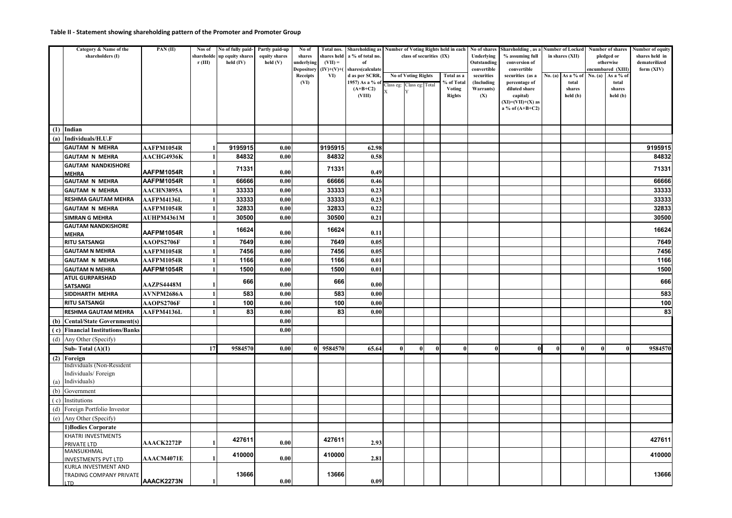### **Table II - Statement showing shareholding pattern of the Promoter and Promoter Group**

|     | Category & Name of the<br>shareholders (I)         | PAN(II)           | Nos of<br>shareholde<br>r(III) | No of fully paid-<br>up equity shares<br>held (IV) | Partly paid-up<br>equity shares<br>$\text{held}(V)$ | No of<br>shares<br>underlying<br>Depository | Total nos.<br>$(VII) =$<br>$(IV)+(V)+(V)$ | shares held a % of total no.<br>of<br>shares(calculate | Shareholding as Number of Voting Rights held in each<br>class of securities (IX) |                            |          | Underlying<br>Outstanding      | No of shares Shareholding, as a Number of Locked<br>% assuming full<br>conversion of<br>convertible<br>convertible |                           | in shares (XII) |                    | Number of shares<br>pledged or<br>otherwise<br>encumbared (XIII) | Number of equity<br>shares held in<br>dematerilized<br>form (XIV) |         |
|-----|----------------------------------------------------|-------------------|--------------------------------|----------------------------------------------------|-----------------------------------------------------|---------------------------------------------|-------------------------------------------|--------------------------------------------------------|----------------------------------------------------------------------------------|----------------------------|----------|--------------------------------|--------------------------------------------------------------------------------------------------------------------|---------------------------|-----------------|--------------------|------------------------------------------------------------------|-------------------------------------------------------------------|---------|
|     |                                                    |                   |                                |                                                    |                                                     | <b>Receipts</b>                             | VI)                                       | d as per SCRR,                                         |                                                                                  | <b>No of Voting Rights</b> |          | Total as a                     | securities                                                                                                         | securities (as a          | No. (a)         | As a % of          | No. (a)                                                          | As a % of                                                         |         |
|     |                                                    |                   |                                |                                                    |                                                     | (VI)                                        |                                           | 1957) As a % of                                        |                                                                                  | Class eg: Class eg: Total  |          | % of Total                     | (Including                                                                                                         | percentage of             |                 | total              |                                                                  | total                                                             |         |
|     |                                                    |                   |                                |                                                    |                                                     |                                             |                                           | $(A+B+C2)$<br>(VIII)                                   | $\bar{X}$                                                                        |                            |          | <b>Voting</b><br><b>Rights</b> | Warrants)<br>(X)                                                                                                   | diluted share<br>capital) |                 | shares<br>held (b) |                                                                  | shares<br>held (b)                                                |         |
|     |                                                    |                   |                                |                                                    |                                                     |                                             |                                           |                                                        |                                                                                  |                            |          |                                |                                                                                                                    | $(XI)=(VII)+(X)$ as       |                 |                    |                                                                  |                                                                   |         |
|     |                                                    |                   |                                |                                                    |                                                     |                                             |                                           |                                                        |                                                                                  |                            |          |                                |                                                                                                                    | a % of $(A+B+C2)$         |                 |                    |                                                                  |                                                                   |         |
|     |                                                    |                   |                                |                                                    |                                                     |                                             |                                           |                                                        |                                                                                  |                            |          |                                |                                                                                                                    |                           |                 |                    |                                                                  |                                                                   |         |
|     | $(1)$ Indian                                       |                   |                                |                                                    |                                                     |                                             |                                           |                                                        |                                                                                  |                            |          |                                |                                                                                                                    |                           |                 |                    |                                                                  |                                                                   |         |
| (a) | Individuals/H.U.F                                  |                   |                                |                                                    |                                                     |                                             |                                           |                                                        |                                                                                  |                            |          |                                |                                                                                                                    |                           |                 |                    |                                                                  |                                                                   |         |
|     | <b>GAUTAM N MEHRA</b>                              | AAFPM1054R        |                                | 9195915                                            | 0.00                                                |                                             | 9195915                                   | 62.98                                                  |                                                                                  |                            |          |                                |                                                                                                                    |                           |                 |                    |                                                                  |                                                                   | 9195915 |
|     | <b>GAUTAM N MEHRA</b>                              | <b>AACHG4936K</b> |                                | 84832                                              | 0.00                                                |                                             | 84832                                     | 0.58                                                   |                                                                                  |                            |          |                                |                                                                                                                    |                           |                 |                    |                                                                  |                                                                   | 84832   |
|     | <b>GAUTAM NANDKISHORE</b><br><b>MEHRA</b>          | AAFPM1054R        |                                | 71331                                              | 0.00                                                |                                             | 71331                                     | 0.49                                                   |                                                                                  |                            |          |                                |                                                                                                                    |                           |                 |                    |                                                                  |                                                                   | 71331   |
|     | <b>GAUTAM N MEHRA</b>                              | AAFPM1054R        | $\mathbf{1}$                   | 66666                                              | 0.00                                                |                                             | 66666                                     | 0.46                                                   |                                                                                  |                            |          |                                |                                                                                                                    |                           |                 |                    |                                                                  |                                                                   | 66666   |
|     | <b>GAUTAM N MEHRA</b>                              | <b>AACHN3895A</b> |                                | 33333                                              | 0.00                                                |                                             | 33333                                     | 0.23                                                   |                                                                                  |                            |          |                                |                                                                                                                    |                           |                 |                    |                                                                  |                                                                   | 33333   |
|     | <b>RESHMA GAUTAM MEHRA</b>                         | AAFPM4136L        |                                | 33333                                              | 0.00                                                |                                             | 33333                                     | 0.23                                                   |                                                                                  |                            |          |                                |                                                                                                                    |                           |                 |                    |                                                                  |                                                                   | 33333   |
|     | <b>GAUTAM N MEHRA</b>                              | AAFPM1054R        |                                | 32833                                              | 0.00                                                |                                             | 32833                                     | 0.22                                                   |                                                                                  |                            |          |                                |                                                                                                                    |                           |                 |                    |                                                                  |                                                                   | 32833   |
|     | <b>SIMRAN G MEHRA</b><br><b>GAUTAM NANDKISHORE</b> | <b>AUHPM4361M</b> |                                | 30500                                              | 0.00                                                |                                             | 30500                                     | 0.21                                                   |                                                                                  |                            |          |                                |                                                                                                                    |                           |                 |                    |                                                                  |                                                                   | 30500   |
|     | <b>MEHRA</b>                                       | AAFPM1054R        |                                | 16624                                              | 0.00                                                |                                             | 16624                                     | 0.11                                                   |                                                                                  |                            |          |                                |                                                                                                                    |                           |                 |                    |                                                                  |                                                                   | 16624   |
|     | <b>RITU SATSANGI</b>                               | <b>AAOPS2706F</b> |                                | 7649                                               | 0.00                                                |                                             | 7649                                      | 0.05                                                   |                                                                                  |                            |          |                                |                                                                                                                    |                           |                 |                    |                                                                  |                                                                   | 7649    |
|     | <b>GAUTAM N MEHRA</b>                              | AAFPM1054R        |                                | 7456                                               | 0.00                                                |                                             | 7456                                      | 0.05                                                   |                                                                                  |                            |          |                                |                                                                                                                    |                           |                 |                    |                                                                  |                                                                   | 7456    |
|     | <b>GAUTAM N MEHRA</b>                              | AAFPM1054R        |                                | 1166                                               | 0.00                                                |                                             | 1166                                      | 0.01                                                   |                                                                                  |                            |          |                                |                                                                                                                    |                           |                 |                    |                                                                  |                                                                   | 1166    |
|     | <b>GAUTAM N MEHRA</b>                              | AAFPM1054R        | 1                              | 1500                                               | 0.00                                                |                                             | 1500                                      | 0.01                                                   |                                                                                  |                            |          |                                |                                                                                                                    |                           |                 |                    |                                                                  |                                                                   | 1500    |
|     | <b>ATUL GURPARSHAD</b>                             |                   |                                | 666                                                |                                                     |                                             |                                           |                                                        |                                                                                  |                            |          |                                |                                                                                                                    |                           |                 |                    |                                                                  |                                                                   | 666     |
|     | SATSANGI                                           | <b>AAZPS4448M</b> |                                |                                                    | 0.00                                                |                                             | 666                                       | 0.00                                                   |                                                                                  |                            |          |                                |                                                                                                                    |                           |                 |                    |                                                                  |                                                                   |         |
|     | SIDDHARTH MEHRA                                    | AVNPM2686A        |                                | 583                                                | 0.00                                                |                                             | 583                                       | 0.00                                                   |                                                                                  |                            |          |                                |                                                                                                                    |                           |                 |                    |                                                                  |                                                                   | 583     |
|     | <b>RITU SATSANGI</b>                               | <b>AAOPS2706F</b> |                                | 100                                                | 0.00                                                |                                             | 100                                       | 0.00                                                   |                                                                                  |                            |          |                                |                                                                                                                    |                           |                 |                    |                                                                  |                                                                   | 100     |
|     | <b>RESHMA GAUTAM MEHRA</b>                         | <b>AAFPM4136L</b> |                                | 83                                                 | 0.00                                                |                                             | 83                                        | 0.00                                                   |                                                                                  |                            |          |                                |                                                                                                                    |                           |                 |                    |                                                                  |                                                                   | 83      |
| (b) | <b>Cental/State Government(s)</b>                  |                   |                                |                                                    | 0.00                                                |                                             |                                           |                                                        |                                                                                  |                            |          |                                |                                                                                                                    |                           |                 |                    |                                                                  |                                                                   |         |
| (c) | <b>Financial Institutions/Banks</b>                |                   |                                |                                                    | 0.00                                                |                                             |                                           |                                                        |                                                                                  |                            |          |                                |                                                                                                                    |                           |                 |                    |                                                                  |                                                                   |         |
| (d) | Any Other (Specify)                                |                   |                                |                                                    |                                                     |                                             |                                           |                                                        |                                                                                  |                            |          |                                |                                                                                                                    |                           |                 |                    |                                                                  |                                                                   |         |
|     | Sub-Total $(A)(1)$                                 |                   | 17                             | 9584570                                            | 0.00                                                |                                             | 9584570                                   | 65.64                                                  | $\mathbf{0}$                                                                     | $\bf{0}$                   | $\bf{0}$ |                                | $\bf{0}$                                                                                                           | $\mathbf{0}$              |                 |                    | $\bf{0}$                                                         |                                                                   | 9584570 |
|     | (2) Foreign<br>Individuals (Non-Resident           |                   |                                |                                                    |                                                     |                                             |                                           |                                                        |                                                                                  |                            |          |                                |                                                                                                                    |                           |                 |                    |                                                                  |                                                                   |         |
|     | Individuals/Foreign                                |                   |                                |                                                    |                                                     |                                             |                                           |                                                        |                                                                                  |                            |          |                                |                                                                                                                    |                           |                 |                    |                                                                  |                                                                   |         |
| (a) | Individuals)                                       |                   |                                |                                                    |                                                     |                                             |                                           |                                                        |                                                                                  |                            |          |                                |                                                                                                                    |                           |                 |                    |                                                                  |                                                                   |         |
| (b) | Government                                         |                   |                                |                                                    |                                                     |                                             |                                           |                                                        |                                                                                  |                            |          |                                |                                                                                                                    |                           |                 |                    |                                                                  |                                                                   |         |
| (c) | Institutions                                       |                   |                                |                                                    |                                                     |                                             |                                           |                                                        |                                                                                  |                            |          |                                |                                                                                                                    |                           |                 |                    |                                                                  |                                                                   |         |
| (d) | Foreign Portfolio Investor                         |                   |                                |                                                    |                                                     |                                             |                                           |                                                        |                                                                                  |                            |          |                                |                                                                                                                    |                           |                 |                    |                                                                  |                                                                   |         |
| (e) | Any Other (Specify)                                |                   |                                |                                                    |                                                     |                                             |                                           |                                                        |                                                                                  |                            |          |                                |                                                                                                                    |                           |                 |                    |                                                                  |                                                                   |         |
|     | 1) Bodies Corporate                                |                   |                                |                                                    |                                                     |                                             |                                           |                                                        |                                                                                  |                            |          |                                |                                                                                                                    |                           |                 |                    |                                                                  |                                                                   |         |
|     | <b>KHATRI INVESTMENTS</b>                          |                   |                                | 427611                                             |                                                     |                                             | 427611                                    |                                                        |                                                                                  |                            |          |                                |                                                                                                                    |                           |                 |                    |                                                                  |                                                                   | 427611  |
|     | PRIVATE LTD                                        | <b>AAACK2272P</b> |                                |                                                    | 0.00                                                |                                             |                                           | 2.93                                                   |                                                                                  |                            |          |                                |                                                                                                                    |                           |                 |                    |                                                                  |                                                                   |         |
|     | MANSUKHMAL                                         | <b>AAACM4071E</b> |                                | 410000                                             | 0.00                                                |                                             | 410000                                    | 2.81                                                   |                                                                                  |                            |          |                                |                                                                                                                    |                           |                 |                    |                                                                  |                                                                   | 410000  |
|     | <b>INVESTMENTS PVT LTD</b><br>KURLA INVESTMENT AND |                   |                                |                                                    |                                                     |                                             |                                           |                                                        |                                                                                  |                            |          |                                |                                                                                                                    |                           |                 |                    |                                                                  |                                                                   |         |
|     | TRADING COMPANY PRIVATE                            |                   |                                | 13666                                              |                                                     |                                             | 13666                                     |                                                        |                                                                                  |                            |          |                                |                                                                                                                    |                           |                 |                    |                                                                  |                                                                   | 13666   |
|     | LTD                                                | AAACK2273N        |                                |                                                    | 0.00                                                | 0.09                                        |                                           |                                                        |                                                                                  |                            |          |                                |                                                                                                                    |                           |                 |                    |                                                                  |                                                                   |         |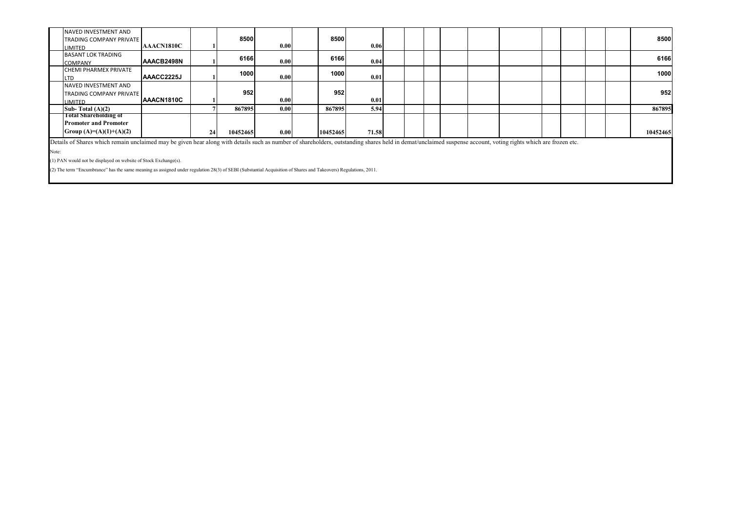| NAVED INVESTMENT AND<br><b>TRADING COMPANY PRIVATE</b>                                                                                                                                                         |            |    | 8500     |      | 8500     |       |  |  |  |  |  | 8500     |
|----------------------------------------------------------------------------------------------------------------------------------------------------------------------------------------------------------------|------------|----|----------|------|----------|-------|--|--|--|--|--|----------|
| LIMITED                                                                                                                                                                                                        | AAACN1810C |    |          | 0.00 |          | 0.06  |  |  |  |  |  |          |
| <b>BASANT LOK TRADING</b>                                                                                                                                                                                      |            |    | 6166     |      | 6166     |       |  |  |  |  |  | 6166     |
| <b>COMPANY</b>                                                                                                                                                                                                 | AAACB2498N |    |          | 0.00 |          | 0.04  |  |  |  |  |  |          |
| <b>CHEMI PHARMEX PRIVATE</b>                                                                                                                                                                                   |            |    | 1000     |      | 1000     |       |  |  |  |  |  | 1000     |
| .TD                                                                                                                                                                                                            | AAACC2225J |    |          | 0.00 |          | 0.01  |  |  |  |  |  |          |
| NAVED INVESTMENT AND                                                                                                                                                                                           |            |    |          |      |          |       |  |  |  |  |  |          |
| <b>TRADING COMPANY PRIVATE</b>                                                                                                                                                                                 |            |    | 952      |      | 952      |       |  |  |  |  |  | 952      |
| LIMITED                                                                                                                                                                                                        | AAACN1810C |    |          | 0.00 |          | 0.01  |  |  |  |  |  |          |
| Sub-Total $(A)(2)$                                                                                                                                                                                             |            |    | 867895   | 0.00 | 867895   | 5.94  |  |  |  |  |  | 867895   |
| <b>Total Shareholding of</b>                                                                                                                                                                                   |            |    |          |      |          |       |  |  |  |  |  |          |
| <b>Promoter and Promoter</b>                                                                                                                                                                                   |            |    |          |      |          |       |  |  |  |  |  |          |
| Group $(A)=(A)(1)+(A)(2)$                                                                                                                                                                                      |            | 24 | 10452465 | 0.00 | 10452465 | 71.58 |  |  |  |  |  | 10452465 |
| Details of Shares which remain unclaimed may be given hear along with details such as number of shareholders, outstanding shares held in demat/unclaimed suspense account, voting rights which are frozen etc. |            |    |          |      |          |       |  |  |  |  |  |          |

Note:

(1) PAN would not be displayed on website of Stock Exchange(s).

(2) The term "Encumbrance" has the same meaning as assigned under regulation 28(3) of SEBI (Substantial Acquisition of Shares and Takeovers) Regulations, 2011.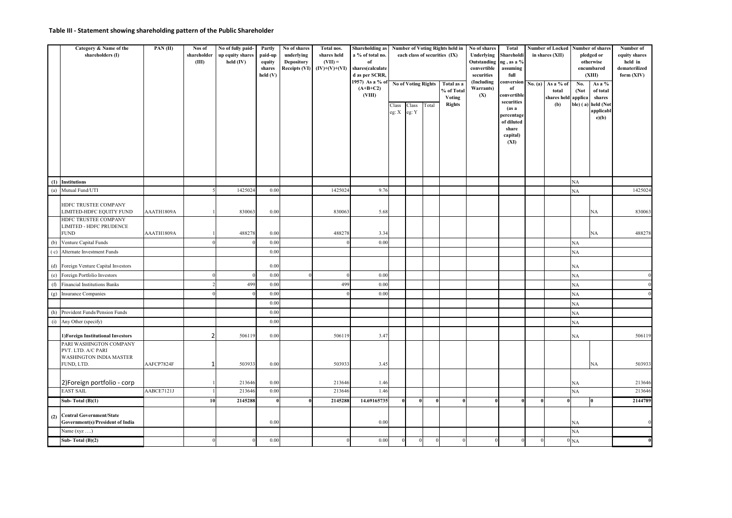### **Table III - Statement showing shareholding pattern of the Public Shareholder**

|     | Category & Name of the<br>shareholders (I)                                                    | PAN(II)    | Nos of<br>shareholder<br>(III) | No of fully paid-<br>up equity shares<br>held (IV) | Partly<br>paid-up<br>equity<br>shares<br>held(V) | No of shares<br>underlying<br>Depository<br><b>Receipts (VI)</b> | Total nos.<br>shares held<br>$(VII) =$<br>$(IV)+(V)+(VI)$ | <b>Shareholding</b> as<br>a % of total no.<br>of<br>shares(calculate<br>d as per SCRR,<br>1957) As a % of<br>$(A+B+C2)$<br>(VIII) | Class<br>eg: X | No of Voting Rights<br>Class<br>eg: Y | Total | Number of Voting Rights held in<br>each class of securities (IX)<br>Total as a<br>% of Total<br>Voting<br><b>Rights</b> | No of shares<br>Underlying<br>Outstanding ng, as a %<br>convertible<br>securities<br>(Including<br>Warrants)<br>(X) | Total<br>Shareholdi<br>assuming<br>full<br>conversion<br>of<br>convertible<br>securities<br>(as a)<br>percentage<br>of diluted<br>share<br>capital)<br>(XI) | No. (a) | Number of Locked Number of shares<br>in shares (XII)<br>As a % of<br>total<br>shares held applica<br>(b) | No.<br>(Not<br>ble) (a) | pledged or<br>otherwise<br>encumbared<br>(XIII)<br>As a %<br>of total<br>shares<br>held (Not<br>applicabl<br>e)(b) | Number of<br>equity shares<br>held in<br>dematerilized<br>form (XIV) |
|-----|-----------------------------------------------------------------------------------------------|------------|--------------------------------|----------------------------------------------------|--------------------------------------------------|------------------------------------------------------------------|-----------------------------------------------------------|-----------------------------------------------------------------------------------------------------------------------------------|----------------|---------------------------------------|-------|-------------------------------------------------------------------------------------------------------------------------|---------------------------------------------------------------------------------------------------------------------|-------------------------------------------------------------------------------------------------------------------------------------------------------------|---------|----------------------------------------------------------------------------------------------------------|-------------------------|--------------------------------------------------------------------------------------------------------------------|----------------------------------------------------------------------|
|     |                                                                                               |            |                                |                                                    |                                                  |                                                                  |                                                           |                                                                                                                                   |                |                                       |       |                                                                                                                         |                                                                                                                     |                                                                                                                                                             |         |                                                                                                          |                         |                                                                                                                    |                                                                      |
| (1) | <b>Institutions</b>                                                                           |            |                                |                                                    |                                                  |                                                                  |                                                           |                                                                                                                                   |                |                                       |       |                                                                                                                         |                                                                                                                     |                                                                                                                                                             |         |                                                                                                          | <b>NA</b>               |                                                                                                                    |                                                                      |
| (a) | Mutual Fund/UTI                                                                               |            | 5                              | 1425024                                            | 0.00                                             |                                                                  | 1425024                                                   | 9.76                                                                                                                              |                |                                       |       |                                                                                                                         |                                                                                                                     |                                                                                                                                                             |         |                                                                                                          | <b>NA</b>               |                                                                                                                    | 1425024                                                              |
|     | HDFC TRUSTEE COMPANY<br>LIMITED-HDFC EQUITY FUND                                              | AAATH1809A |                                | 830063                                             | 0.00                                             |                                                                  | 830063                                                    | 5.68                                                                                                                              |                |                                       |       |                                                                                                                         |                                                                                                                     |                                                                                                                                                             |         |                                                                                                          |                         | NA                                                                                                                 | 830063                                                               |
|     | HDFC TRUSTEE COMPANY<br>LIMITED - HDFC PRUDENCE<br>${\rm FUND}$                               | AAATH1809A |                                | 488278                                             | 0.00                                             |                                                                  | 488278                                                    | 3.34                                                                                                                              |                |                                       |       |                                                                                                                         |                                                                                                                     |                                                                                                                                                             |         |                                                                                                          |                         | NA                                                                                                                 | 488278                                                               |
| (b) | Venture Capital Funds                                                                         |            |                                |                                                    | 0.00                                             |                                                                  |                                                           | 0.00                                                                                                                              |                |                                       |       |                                                                                                                         |                                                                                                                     |                                                                                                                                                             |         |                                                                                                          | NA                      |                                                                                                                    |                                                                      |
| (c) | Alternate Investment Funds                                                                    |            |                                |                                                    | 0.00                                             |                                                                  |                                                           |                                                                                                                                   |                |                                       |       |                                                                                                                         |                                                                                                                     |                                                                                                                                                             |         |                                                                                                          | NA                      |                                                                                                                    |                                                                      |
|     | (d) Foreign Venture Capital Investors                                                         |            |                                |                                                    | 0.00                                             |                                                                  |                                                           |                                                                                                                                   |                |                                       |       |                                                                                                                         |                                                                                                                     |                                                                                                                                                             |         |                                                                                                          | NA                      |                                                                                                                    |                                                                      |
| (e) | Foreign Portfolio Investors                                                                   |            |                                | $\theta$                                           | 0.00                                             | $\theta$                                                         |                                                           | 0.00                                                                                                                              |                |                                       |       |                                                                                                                         |                                                                                                                     |                                                                                                                                                             |         |                                                                                                          | NA                      |                                                                                                                    | $\overline{0}$                                                       |
| (f) | <b>Financial Institutions Banks</b>                                                           |            |                                | 499                                                | 0.00                                             |                                                                  | 499                                                       | 0.00                                                                                                                              |                |                                       |       |                                                                                                                         |                                                                                                                     |                                                                                                                                                             |         |                                                                                                          | NA                      |                                                                                                                    | $\mathbf{0}$                                                         |
| (g) | <b>Insurance Companies</b>                                                                    |            |                                | $\Omega$                                           | 0.00                                             |                                                                  |                                                           | 0.00                                                                                                                              |                |                                       |       |                                                                                                                         |                                                                                                                     |                                                                                                                                                             |         |                                                                                                          | <b>NA</b>               |                                                                                                                    | $\theta$                                                             |
|     |                                                                                               |            |                                |                                                    | 0.00                                             |                                                                  |                                                           |                                                                                                                                   |                |                                       |       |                                                                                                                         |                                                                                                                     |                                                                                                                                                             |         |                                                                                                          | NA                      |                                                                                                                    |                                                                      |
| (h) | Provident Funds/Pension Funds                                                                 |            |                                |                                                    | 0.00                                             |                                                                  |                                                           |                                                                                                                                   |                |                                       |       |                                                                                                                         |                                                                                                                     |                                                                                                                                                             |         |                                                                                                          | NA                      |                                                                                                                    |                                                                      |
| (i) | Any Other (specify)                                                                           |            |                                |                                                    | 0.00                                             |                                                                  |                                                           |                                                                                                                                   |                |                                       |       |                                                                                                                         |                                                                                                                     |                                                                                                                                                             |         |                                                                                                          | NA                      |                                                                                                                    |                                                                      |
|     | 1) Foreign Institutional Investors                                                            |            | $\overline{2}$                 | 506119                                             | 0.00                                             |                                                                  | 506119                                                    | 3.47                                                                                                                              |                |                                       |       |                                                                                                                         |                                                                                                                     |                                                                                                                                                             |         |                                                                                                          | NA                      |                                                                                                                    | 506119                                                               |
|     | PARI WASHINGTON COMPANY<br>PVT. LTD. A/C PARI<br><b>WASHINGTON INDIA MASTER</b><br>FUND, LTD. | AAFCP7824F | 1                              | 503933                                             | 0.00                                             |                                                                  | 503933                                                    | 3.45                                                                                                                              |                |                                       |       |                                                                                                                         |                                                                                                                     |                                                                                                                                                             |         |                                                                                                          |                         | NA                                                                                                                 | 503933                                                               |
|     | 2) Foreign portfolio - corp                                                                   |            |                                | 213646                                             | 0.00                                             |                                                                  | 213646                                                    | 1.46                                                                                                                              |                |                                       |       |                                                                                                                         |                                                                                                                     |                                                                                                                                                             |         |                                                                                                          | NA                      |                                                                                                                    | 213646                                                               |
|     | <b>EAST SAIL</b>                                                                              | AABCE7121J |                                | 213646                                             | 0.00                                             |                                                                  | 213646                                                    | 1.46                                                                                                                              |                |                                       |       |                                                                                                                         |                                                                                                                     |                                                                                                                                                             |         |                                                                                                          | NA                      |                                                                                                                    | 213646                                                               |
|     | Sub-Total $(B)(1)$                                                                            |            | 10                             | 2145288                                            | $\theta$                                         |                                                                  | 2145288                                                   | 14.69165735                                                                                                                       |                |                                       |       |                                                                                                                         |                                                                                                                     |                                                                                                                                                             |         |                                                                                                          |                         | $\bf{0}$                                                                                                           | 2144789                                                              |
| (2) | <b>Central Government/State</b><br>Government(s)/President of India                           |            |                                |                                                    | 0.00                                             |                                                                  |                                                           | 0.00                                                                                                                              |                |                                       |       |                                                                                                                         |                                                                                                                     |                                                                                                                                                             |         |                                                                                                          | NА                      |                                                                                                                    | $\overline{0}$                                                       |
|     | Name $(xyz \dots)$                                                                            |            |                                |                                                    |                                                  |                                                                  |                                                           |                                                                                                                                   |                |                                       |       |                                                                                                                         |                                                                                                                     |                                                                                                                                                             |         |                                                                                                          | NA                      |                                                                                                                    |                                                                      |
|     | Sub-Total $(B)(2)$                                                                            |            |                                |                                                    | 0.00                                             |                                                                  |                                                           | 0.00                                                                                                                              |                |                                       |       |                                                                                                                         |                                                                                                                     |                                                                                                                                                             |         |                                                                                                          | NA                      |                                                                                                                    | $\mathbf{0}$                                                         |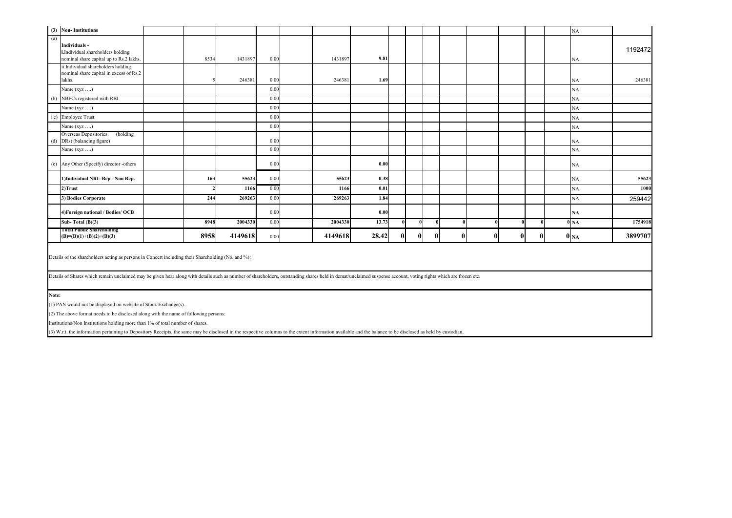| (3) Non-Institutions                                            |                                                                                                                                                                                                                                                                                                                                                                                         |  |               |         |      |  |         |       |              |          |          |          |              |              |          |  | NA              |         |
|-----------------------------------------------------------------|-----------------------------------------------------------------------------------------------------------------------------------------------------------------------------------------------------------------------------------------------------------------------------------------------------------------------------------------------------------------------------------------|--|---------------|---------|------|--|---------|-------|--------------|----------|----------|----------|--------------|--------------|----------|--|-----------------|---------|
| (a)<br>Individuals -                                            | i.Individual shareholders holding<br>nominal share capital up to Rs.2 lakhs.                                                                                                                                                                                                                                                                                                            |  | 8534          | 1431897 | 0.00 |  | 1431897 | 9.81  |              |          |          |          |              |              |          |  | NA              | 1192472 |
| lakhs.                                                          | ii.Individual shareholders holding<br>nominal share capital in excess of Rs.2                                                                                                                                                                                                                                                                                                           |  |               | 246381  | 0.00 |  | 246381  | 1.69  |              |          |          |          |              |              |          |  | NA              | 246381  |
| Name (xyz )                                                     |                                                                                                                                                                                                                                                                                                                                                                                         |  |               |         | 0.00 |  |         |       |              |          |          |          |              |              |          |  | NA              |         |
| NBFCs registered with RBI<br>(b)                                |                                                                                                                                                                                                                                                                                                                                                                                         |  |               |         | 0.00 |  |         |       |              |          |          |          |              |              |          |  | NA              |         |
| Name (xyz )                                                     |                                                                                                                                                                                                                                                                                                                                                                                         |  |               |         | 0.00 |  |         |       |              |          |          |          |              |              |          |  | NA              |         |
| (c) Employee Trust                                              |                                                                                                                                                                                                                                                                                                                                                                                         |  |               |         | 0.00 |  |         |       |              |          |          |          |              |              |          |  | NA              |         |
| Name (xyz )                                                     |                                                                                                                                                                                                                                                                                                                                                                                         |  |               |         | 0.00 |  |         |       |              |          |          |          |              |              |          |  | NA              |         |
| Overseas Depositories<br>DRs) (balancing figure)<br>(d)         | (holding                                                                                                                                                                                                                                                                                                                                                                                |  |               |         | 0.00 |  |         |       |              |          |          |          |              |              |          |  | NA              |         |
| Name $(xyz \dots)$                                              |                                                                                                                                                                                                                                                                                                                                                                                         |  |               |         | 0.00 |  |         |       |              |          |          |          |              |              |          |  | NA              |         |
|                                                                 | (e) Any Other (Specify) director -others                                                                                                                                                                                                                                                                                                                                                |  |               |         | 0.00 |  |         | 0.00  |              |          |          |          |              |              |          |  | NA              |         |
|                                                                 | 1) Individual NRI-Rep.- Non Rep.                                                                                                                                                                                                                                                                                                                                                        |  | 163           | 55623   | 0.00 |  | 55623   | 0.38  |              |          |          |          |              |              |          |  | NA              | 55623   |
| $2)$ Trust                                                      |                                                                                                                                                                                                                                                                                                                                                                                         |  | $\mathcal{L}$ | 1166    | 0.00 |  | 1166    | 0.01  |              |          |          |          |              |              |          |  | NA              | 1000    |
| 3) Bodies Corporate                                             |                                                                                                                                                                                                                                                                                                                                                                                         |  | 244           | 269263  | 0.00 |  | 269263  | 1.84  |              |          |          |          |              |              |          |  | NA              | 259442  |
|                                                                 | 4) Foreign national / Bodies/ OCB                                                                                                                                                                                                                                                                                                                                                       |  |               |         | 0.00 |  |         | 0.00  |              |          |          |          |              |              |          |  | NA              |         |
| Sub-Total $(B)(3)$                                              |                                                                                                                                                                                                                                                                                                                                                                                         |  | 8948          | 2004330 | 0.00 |  | 2004330 | 13.73 |              | $\theta$ |          | $\theta$ | $\theta$     | $\mathbf{0}$ | $\theta$ |  | 0 <sub>NA</sub> | 1754918 |
| <b>1 otal Public Shareholding</b><br>$(B)=(B)(1)+(B)(2)+(B)(3)$ |                                                                                                                                                                                                                                                                                                                                                                                         |  | 8958          | 4149618 | 0.00 |  | 4149618 | 28.42 | $\mathbf{0}$ |          | $\bf{0}$ | Ω        | $\mathbf{0}$ | $\mathbf{0}$ | $\bf{0}$ |  | 0 <sub>NA</sub> | 3899707 |
| Note:                                                           | Details of the shareholders acting as persons in Concert including their Shareholding (No. and %):<br>Details of Shares which remain unclaimed may be given hear along with details such as number of shareholders, outstanding shares held in demat/unclaimed suspense account, voting rights which are frozen etc.<br>(1) PAN would not be displayed on website of Stock Exchange(s). |  |               |         |      |  |         |       |              |          |          |          |              |              |          |  |                 |         |
|                                                                 | Institutions/Non Institutions holding more than 1% of total number of shares.                                                                                                                                                                                                                                                                                                           |  |               |         |      |  |         |       |              |          |          |          |              |              |          |  |                 |         |
|                                                                 | (2) The above format needs to be disclosed along with the name of following persons:                                                                                                                                                                                                                                                                                                    |  |               |         |      |  |         |       |              |          |          |          |              |              |          |  |                 |         |

(3) W.r.t. the information pertaining to Depository Receipts, the same may be disclosed in the respective columns to the extent information available and the balance to be disclosed as held by custodian,